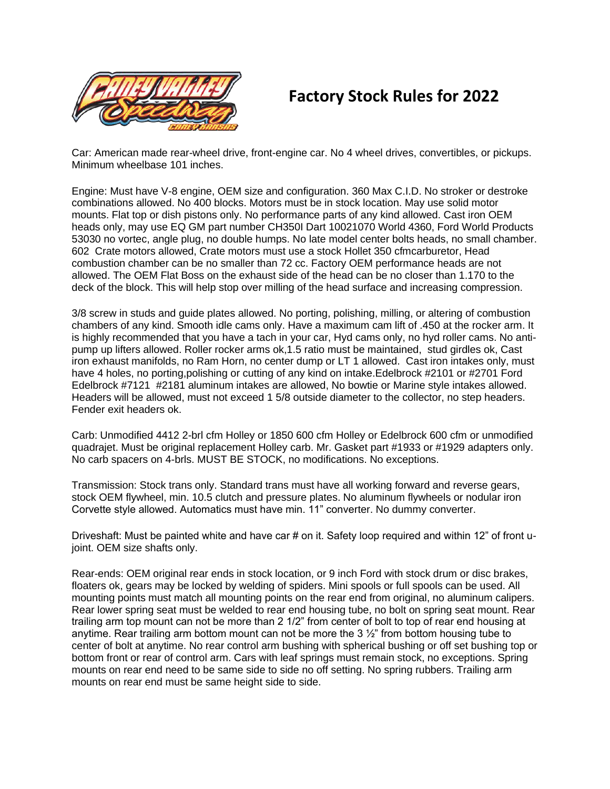

## **Factory Stock Rules for 2022**

Car: American made rear-wheel drive, front-engine car. No 4 wheel drives, convertibles, or pickups. Minimum wheelbase 101 inches.

Engine: Must have V-8 engine, OEM size and configuration. 360 Max C.I.D. No stroker or destroke combinations allowed. No 400 blocks. Motors must be in stock location. May use solid motor mounts. Flat top or dish pistons only. No performance parts of any kind allowed. Cast iron OEM heads only, may use EQ GM part number CH350I Dart 10021070 World 4360, Ford World Products 53030 no vortec, angle plug, no double humps. No late model center bolts heads, no small chamber. 602 Crate motors allowed, Crate motors must use a stock Hollet 350 cfmcarburetor, Head combustion chamber can be no smaller than 72 cc. Factory OEM performance heads are not allowed. The OEM Flat Boss on the exhaust side of the head can be no closer than 1.170 to the deck of the block. This will help stop over milling of the head surface and increasing compression.

3/8 screw in studs and guide plates allowed. No porting, polishing, milling, or altering of combustion chambers of any kind. Smooth idle cams only. Have a maximum cam lift of .450 at the rocker arm. It is highly recommended that you have a tach in your car, Hyd cams only, no hyd roller cams. No antipump up lifters allowed. Roller rocker arms ok,1.5 ratio must be maintained, stud girdles ok, Cast iron exhaust manifolds, no Ram Horn, no center dump or LT 1 allowed. Cast iron intakes only, must have 4 holes, no porting,polishing or cutting of any kind on intake.Edelbrock #2101 or #2701 Ford Edelbrock #7121 #2181 aluminum intakes are allowed, No bowtie or Marine style intakes allowed. Headers will be allowed, must not exceed 1 5/8 outside diameter to the collector, no step headers. Fender exit headers ok.

Carb: Unmodified 4412 2-brl cfm Holley or 1850 600 cfm Holley or Edelbrock 600 cfm or unmodified quadrajet. Must be original replacement Holley carb. Mr. Gasket part #1933 or #1929 adapters only. No carb spacers on 4-brls. MUST BE STOCK, no modifications. No exceptions.

Transmission: Stock trans only. Standard trans must have all working forward and reverse gears, stock OEM flywheel, min. 10.5 clutch and pressure plates. No aluminum flywheels or nodular iron Corvette style allowed. Automatics must have min. 11" converter. No dummy converter.

Driveshaft: Must be painted white and have car # on it. Safety loop required and within 12" of front ujoint. OEM size shafts only.

Rear-ends: OEM original rear ends in stock location, or 9 inch Ford with stock drum or disc brakes, floaters ok, gears may be locked by welding of spiders. Mini spools or full spools can be used. All mounting points must match all mounting points on the rear end from original, no aluminum calipers. Rear lower spring seat must be welded to rear end housing tube, no bolt on spring seat mount. Rear trailing arm top mount can not be more than 2 1/2" from center of bolt to top of rear end housing at anytime. Rear trailing arm bottom mount can not be more the 3 ½" from bottom housing tube to center of bolt at anytime. No rear control arm bushing with spherical bushing or off set bushing top or bottom front or rear of control arm. Cars with leaf springs must remain stock, no exceptions. Spring mounts on rear end need to be same side to side no off setting. No spring rubbers. Trailing arm mounts on rear end must be same height side to side.